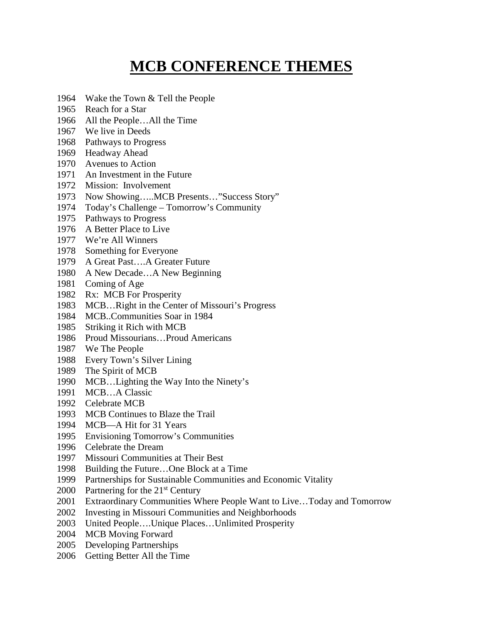## **MCB CONFERENCE THEMES**

- Wake the Town & Tell the People
- Reach for a Star
- All the People…All the Time
- We live in Deeds
- Pathways to Progress
- Headway Ahead
- Avenues to Action
- An Investment in the Future
- Mission: Involvement
- Now Showing…..MCB Presents…"Success Story"
- Today's Challenge Tomorrow's Community
- Pathways to Progress
- A Better Place to Live
- We're All Winners
- Something for Everyone
- A Great Past….A Greater Future
- A New Decade…A New Beginning
- Coming of Age
- Rx: MCB For Prosperity
- MCB…Right in the Center of Missouri's Progress
- MCB..Communities Soar in 1984
- Striking it Rich with MCB
- Proud Missourians…Proud Americans
- We The People
- Every Town's Silver Lining
- The Spirit of MCB
- MCB…Lighting the Way Into the Ninety's
- MCB…A Classic
- Celebrate MCB
- MCB Continues to Blaze the Trail
- MCB—A Hit for 31 Years
- Envisioning Tomorrow's Communities
- Celebrate the Dream
- Missouri Communities at Their Best
- Building the Future…One Block at a Time
- Partnerships for Sustainable Communities and Economic Vitality
- 2000 Partnering for the  $21<sup>st</sup>$  Century
- Extraordinary Communities Where People Want to Live…Today and Tomorrow
- Investing in Missouri Communities and Neighborhoods
- United People….Unique Places…Unlimited Prosperity
- MCB Moving Forward
- Developing Partnerships
- Getting Better All the Time